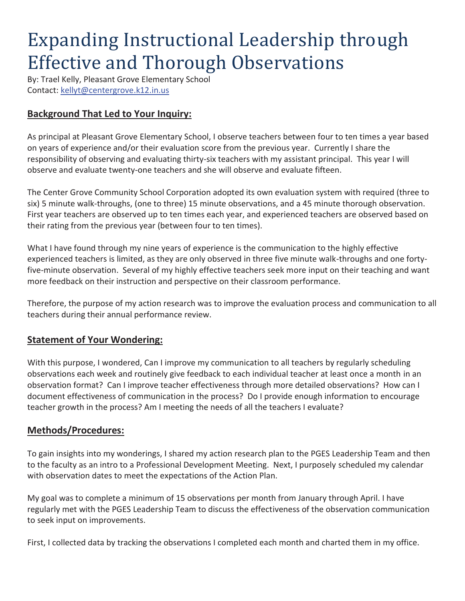# Expanding Instructional Leadership through Effective and Thorough Observations

By: Trael Kelly, Pleasant Grove Elementary School Contact: kellyt@centergrove.k12.in.us

## **Background That Led to Your Inquiry:**

As principal at Pleasant Grove Elementary School, I observe teachers between four to ten times a year based on years of experience and/or their evaluation score from the previous year. Currently I share the responsibility of observing and evaluating thirty-six teachers with my assistant principal. This year I will observe and evaluate twenty-one teachers and she will observe and evaluate fifteen.

The Center Grove Community School Corporation adopted its own evaluation system with required (three to six) 5 minute walk-throughs, (one to three) 15 minute observations, and a 45 minute thorough observation. First year teachers are observed up to ten times each year, and experienced teachers are observed based on their rating from the previous year (between four to ten times).

What I have found through my nine years of experience is the communication to the highly effective experienced teachers is limited, as they are only observed in three five minute walk-throughs and one fortyfive-minute observation. Several of my highly effective teachers seek more input on their teaching and want more feedback on their instruction and perspective on their classroom performance.

Therefore, the purpose of my action research was to improve the evaluation process and communication to all teachers during their annual performance review.

#### **Statement of Your Wondering:**

With this purpose, I wondered, Can I improve my communication to all teachers by regularly scheduling observations each week and routinely give feedback to each individual teacher at least once a month in an observation format? Can I improve teacher effectiveness through more detailed observations? How can I document effectiveness of communication in the process? Do I provide enough information to encourage teacher growth in the process? Am I meeting the needs of all the teachers I evaluate?

#### **Methods/Procedures:**

To gain insights into my wonderings, I shared my action research plan to the PGES Leadership Team and then to the faculty as an intro to a Professional Development Meeting. Next, I purposely scheduled my calendar with observation dates to meet the expectations of the Action Plan.

My goal was to complete a minimum of 15 observations per month from January through April. I have regularly met with the PGES Leadership Team to discuss the effectiveness of the observation communication to seek input on improvements.

First, I collected data by tracking the observations I completed each month and charted them in my office.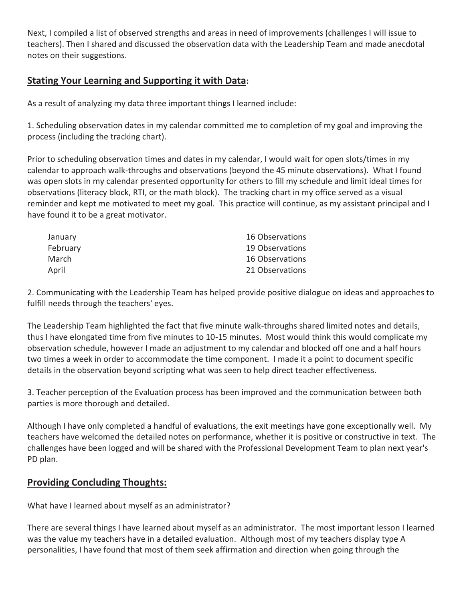Next, I compiled a list of observed strengths and areas in need of improvements (challenges I will issue to teachers). Then I shared and discussed the observation data with the Leadership Team and made anecdotal notes on their suggestions.

#### **Stating Your Learning and Supporting it with Data:**

As a result of analyzing my data three important things I learned include:

1. Scheduling observation dates in my calendar committed me to completion of my goal and improving the process (including the tracking chart).

Prior to scheduling observation times and dates in my calendar, I would wait for open slots/times in my calendar to approach walk-throughs and observations (beyond the 45 minute observations). What I found was open slots in my calendar presented opportunity for others to fill my schedule and limit ideal times for observations (literacy block, RTI, or the math block). The tracking chart in my office served as a visual reminder and kept me motivated to meet my goal. This practice will continue, as my assistant principal and I have found it to be a great motivator.

| January  | 16 Observations |
|----------|-----------------|
| February | 19 Observations |
| March    | 16 Observations |
| April    | 21 Observations |

2. Communicating with the Leadership Team has helped provide positive dialogue on ideas and approaches to fulfill needs through the teachers' eyes.

The Leadership Team highlighted the fact that five minute walk-throughs shared limited notes and details, thus I have elongated time from five minutes to 10-15 minutes. Most would think this would complicate my observation schedule, however I made an adjustment to my calendar and blocked off one and a half hours two times a week in order to accommodate the time component. I made it a point to document specific details in the observation beyond scripting what was seen to help direct teacher effectiveness.

3. Teacher perception of the Evaluation process has been improved and the communication between both parties is more thorough and detailed.

Although I have only completed a handful of evaluations, the exit meetings have gone exceptionally well. My teachers have welcomed the detailed notes on performance, whether it is positive or constructive in text. The challenges have been logged and will be shared with the Professional Development Team to plan next year's PD plan.

#### **Providing Concluding Thoughts:**

What have I learned about myself as an administrator?

There are several things I have learned about myself as an administrator. The most important lesson I learned was the value my teachers have in a detailed evaluation. Although most of my teachers display type A personalities, I have found that most of them seek affirmation and direction when going through the